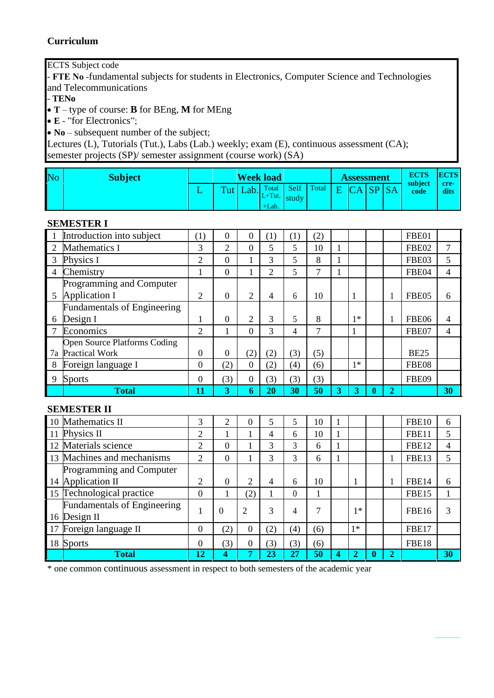### **Curriculum**

ECTS Subject code

- **FТЕ No** -fundamental subjects for students in Electronics, Computer Science and Technologies and Telecommunications

- **TENo**

• **T** – type of course: **B** for BEng, **M** for MEng

• **E** - "for Electronics";

• **No** – subsequent number of the subject;

Lectures (L), Tutorials (Tut.), Labs (Lab.) weekly; exam (E), continuous assessment (CA); semester projects (SP)/ semester assignment (course work) (SA)

| No | <b>Subject</b> |     |      | <b>Week load</b> |                  | <b>Assessment</b> |  | <b>ECTS</b><br>subject | <b>ECTS</b>   |
|----|----------------|-----|------|------------------|------------------|-------------------|--|------------------------|---------------|
|    |                | Tut | Lab. | $L+T$ ut. study  | Total Self Total | E CA SP SA        |  | code                   | -cre-<br>dits |
|    |                |     |      | $+$ Lab.         |                  |                   |  |                        |               |

#### **SEMESTER I**

|        | ОРАНО ПЛА І                         |                |                  |                |                |                  |               |        |      |   |   |                                   |                |
|--------|-------------------------------------|----------------|------------------|----------------|----------------|------------------|---------------|--------|------|---|---|-----------------------------------|----------------|
|        | Introduction into subject           | (1)            | $\overline{0}$   | $\theta$       | (1)            | $\left(1\right)$ | (2)           |        |      |   |   | FBE01                             |                |
| 2      | Mathematics I                       | 3              | $\overline{2}$   | $\theta$       | 5              | 5                | 10            |        |      |   |   | FBE02                             | 7              |
| 3      | Physics I                           | 2              | $\boldsymbol{0}$ |                | 3              | 5                | 8             |        |      |   |   | FBE03                             | 5              |
| 4      | Chemistry                           |                | $\overline{0}$   |                | $\overline{2}$ | 5                | 7             |        |      |   |   | FBE04                             | $\overline{4}$ |
|        | Programming and Computer            |                |                  |                |                |                  |               |        |      |   |   |                                   |                |
| 5      | Application I                       | 2              | $\boldsymbol{0}$ | 2              | $\overline{4}$ | 6                | 10            |        |      |   |   | FBE05                             | 6              |
|        | <b>Fundamentals of Engineering</b>  |                |                  |                |                |                  |               |        |      |   |   |                                   |                |
| 6      | Design I                            |                | $\boldsymbol{0}$ | 2              | 3              | 5                | 8             |        | $1*$ |   |   | FBE06                             | 4              |
| $\tau$ | Economics                           | $\overline{2}$ |                  | $\overline{0}$ | 3              | 4                | $\mathcal{I}$ |        | 1    |   |   | FBE07                             | $\overline{4}$ |
|        | <b>Open Source Platforms Coding</b> |                |                  |                |                |                  |               |        |      |   |   |                                   |                |
| 7a     | <b>Practical Work</b>               | 0              | $\boldsymbol{0}$ | (2)            | (2)            | (3)              | (5)           |        |      |   |   | <b>BE25</b>                       |                |
| 8      | Foreign language I                  | $\Omega$       | (2)              | $\mathbf{0}$   | (2)            | (4)              | (6)           |        | $1*$ |   |   | FBE08                             |                |
| 9      | <b>Sports</b>                       | $\Omega$       | (3)              | 0              | (3)            | (3)              | (3)           |        |      |   |   | FBE09                             |                |
|        | <b>Total</b>                        | 11             | 3                | 6              | 20             | 30               | 50            | 3      | 3    | 0 | 2 |                                   | 30             |
|        | <b>SEMESTER II</b>                  |                |                  |                |                |                  |               |        |      |   |   |                                   |                |
|        | $\frac{1}{2}$<br>$\mathbf{r}$       | $\sim$         | $\sim$           | $\sim$         | $\sim$         | $\sim$           | $\sim$        | $\sim$ |      |   |   | $F^{\mathbf{D}}$ $F^{\mathbf{A}}$ | $\sim$         |

|    | 10 Mathematics II                                  | 3        | 2   |          | 5   |          | 10  |   |      |   | <b>FBE10</b> | 6  |
|----|----------------------------------------------------|----------|-----|----------|-----|----------|-----|---|------|---|--------------|----|
| 11 | Physics II                                         | 2        |     |          | 4   | 6        | 10  |   |      |   | FBE11        | 5  |
|    | 12 Materials science                               | 2        | 0   |          | 3   |          | 6   |   |      |   | FBE12        | 4  |
|    | 13 Machines and mechanisms                         | 2        | 0   |          | 3   | 3        | 6   |   |      |   | FBE13        | 5  |
|    | Programming and Computer                           |          |     |          |     |          |     |   |      |   |              |    |
| 14 | Application II                                     | ↑        | 0   | ∍        | 4   | 6        | 10  |   |      |   | <b>FBE14</b> | 6  |
|    | 15 Technological practice                          | $\Omega$ |     | (2)      |     | $\theta$ |     |   |      |   | FBE15        |    |
|    | <b>Fundamentals of Engineering</b><br>16 Design II |          | 0   | 2        | 3   | 4        | ⇁   |   | ∣∗   |   | <b>FBE16</b> | 3  |
| 17 | Foreign language II                                | $\Omega$ | (2) | $\theta$ | (2) | (4)      | (6) |   | $1*$ |   | FBE17        |    |
|    | 18 Sports                                          | $\Omega$ | (3) | $\theta$ | (3) | (3)      | (6) |   |      |   | FBE18        |    |
|    | <b>Total</b>                                       | 12       | 4   | π        | 23  | 27       | 50  | 4 |      | 2 |              | 30 |

\* one common continuous assessment in respect to both semesters of the academic year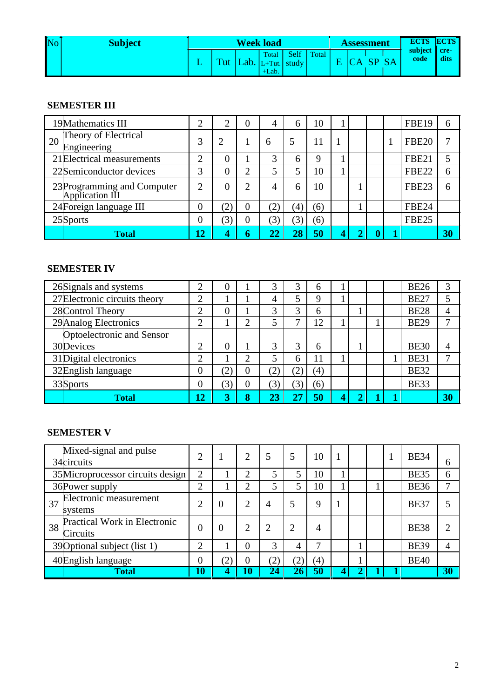| No | <b>Subject</b> |  | <b>Week load</b>                                       |      |       | <b>Assessment</b> |  | <b>ECTS ECTS</b>     |      |
|----|----------------|--|--------------------------------------------------------|------|-------|-------------------|--|----------------------|------|
|    |                |  | Total<br>$\int$ Tut   Lab.   L+Tut.   study<br>$+Lab.$ | Self | Total | VA.               |  | subject cre-<br>code | dits |

# **SEMESTER III**

|    | 19Mathematics III                              |    | ⌒                | $\overline{0}$ |              | 6              | 10  |  |  | <b>FBE19</b>      | 6  |
|----|------------------------------------------------|----|------------------|----------------|--------------|----------------|-----|--|--|-------------------|----|
| 20 | Theory of Electrical<br>Engineering            | 3  |                  |                | 6            | 5              |     |  |  | <b>FBE20</b>      | ⇁  |
|    | 21 Electrical measurements                     | ⌒  |                  |                | $\mathbf 3$  | h              | 9   |  |  | <b>FBE21</b>      | 5  |
|    | 22Semiconductor devices                        | 3  |                  | ⌒              |              |                | l0  |  |  | <b>FBE22</b>      | 6  |
|    | 23 Programming and Computer<br>Application III | ↑  |                  | $\overline{2}$ |              | 6              | 10  |  |  | FBE <sub>23</sub> | 6  |
|    | 24 Foreign language III                        | 0  | '2,              | 0              | $\mathbf{2}$ | $\overline{4}$ | (6) |  |  | <b>FBE24</b>      |    |
|    | 25Sports                                       | 0  | 3                | 0              | 3            |                | (6) |  |  | <b>FBE25</b>      |    |
|    | <b>Total</b>                                   | 12 | $\boldsymbol{4}$ | 6              |              | 28             | 50  |  |  |                   | 30 |

### **SEMESTER IV**

| 26Signals and systems         |                 |              |          | 2                |   | h                |  |  | <b>BE26</b> | 3  |
|-------------------------------|-----------------|--------------|----------|------------------|---|------------------|--|--|-------------|----|
| 27 Electronic circuits theory |                 |              |          |                  |   | Q                |  |  | <b>BE27</b> | 5  |
| 28 Control Theory             | ◠               |              |          | $\mathbf 3$      | 3 | 6                |  |  | <b>BE28</b> | 4  |
| 29 Analog Electronics         | ⌒               |              | ി        |                  |   | 12               |  |  | <b>BE29</b> |    |
| Optoelectronic and Sensor     |                 |              |          |                  |   |                  |  |  |             |    |
| 30Devices                     | ◠               |              |          | 3                |   | 6                |  |  | <b>BE30</b> | 4  |
| 31 Digital electronics        | ◠               |              | 2        |                  | 6 |                  |  |  | <b>BE31</b> |    |
| 32English language            | O               | $\mathbf{2}$ | O        | [2]              |   | $\left(4\right)$ |  |  | <b>BE32</b> |    |
| 33Sports                      | 0               | (3)          | $\theta$ | $\left[3\right]$ |   | (6)              |  |  | <b>BE33</b> |    |
| <b>Total</b>                  | $\overline{12}$ | 3            | 8        | 23               |   | 50               |  |  |             | 30 |

# **SEMESTER V**

|    | Mixed-signal and pulse<br>34circuits            | ◠              |                             | 2              | 5            | 5              | 10  |  |  | <b>BE34</b> | 6              |
|----|-------------------------------------------------|----------------|-----------------------------|----------------|--------------|----------------|-----|--|--|-------------|----------------|
|    | 35 Microprocessor circuits design               | $\overline{2}$ |                             | ി              |              | 5              | 10  |  |  | <b>BE35</b> | 6              |
|    | 36 Power supply                                 | ◠              |                             |                |              | 5              | 10  |  |  | <b>BE36</b> | 7              |
| 37 | Electronic measurement<br>systems               | ◠              | $\mathbf{0}$                | 2              | 4            | 5              | 9   |  |  | <b>BE37</b> |                |
| 38 | <b>Practical Work in Electronic</b><br>Circuits | 0              |                             | $\overline{2}$ | ∍            | $\overline{2}$ | 4   |  |  | <b>BE38</b> | $\overline{2}$ |
|    | 39 Optional subject (list 1)                    | ⌒              |                             | 0              | 3            | 4              | 7   |  |  | <b>BE39</b> | 4              |
|    | 40English language                              | 0              | $\mathcal{L}_{\mathcal{L}}$ | 0              | $\mathbf{2}$ |                | (4) |  |  | <b>BE40</b> |                |
|    | <b>Total</b>                                    | 10             | 4                           | 10             | 24           |                | 50  |  |  |             | 30             |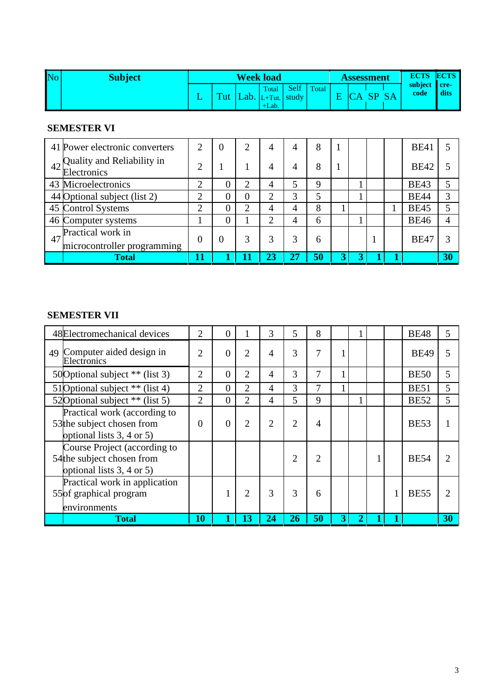| No | Subject |                                      |     | <b>Week load</b>  |                        |       | Assessment |  | <b>ECTS</b>          | <b>ECTS</b> |
|----|---------|--------------------------------------|-----|-------------------|------------------------|-------|------------|--|----------------------|-------------|
|    |         | $\overline{\mathbf{v}}_{\text{ref}}$ | -ob | Total<br>$+$ Lab. | Self<br>.+Tut.   study | Total |            |  | subject cre-<br>code | dits        |

# **SEMESTER VI**

|    | 41 Power electronic converters                   | ി | 0 | $\overline{2}$ |   | 8  |  |  | <b>BE41</b> |    |
|----|--------------------------------------------------|---|---|----------------|---|----|--|--|-------------|----|
| 42 | Quality and Reliability in<br>Electronics        | ◠ |   |                |   | 8  |  |  | <b>BE42</b> |    |
|    | 43 Microelectronics                              | ⌒ |   |                |   | Q  |  |  | <b>BE43</b> |    |
|    | 44 Optional subject (list 2)                     | ◠ |   | 0              | 3 |    |  |  | <b>BE44</b> | 3  |
|    | 45 Control Systems                               | ⌒ |   | ⌒              | 4 | 8  |  |  | <b>BE45</b> |    |
|    | 46 Computer systems                              |   |   |                | 4 | 6  |  |  | <b>BE46</b> |    |
| 47 | Practical work in<br>microcontroller programming | 0 | 0 | 3              |   | 6  |  |  | <b>BE47</b> |    |
|    | <b>Total</b>                                     |   |   |                |   | 50 |  |  |             | 30 |

# **SEMESTER VII**

| 48 Electromechanical devices                                                                       | 2              | 0        |                | 3              | 5  | 8              |   |  | <b>BE48</b> | 5  |
|----------------------------------------------------------------------------------------------------|----------------|----------|----------------|----------------|----|----------------|---|--|-------------|----|
| 49 Computer aided design in<br>Electronics                                                         | 2              | 0        | $\overline{2}$ |                | 3  | 7              |   |  | <b>BE49</b> |    |
| 50 Optional subject ** (list 3)                                                                    | 2              | 0        | $\overline{2}$ | 4              | 3  | 7              |   |  | <b>BE50</b> | 5  |
| 51 Optional subject ** (list 4)                                                                    | $\overline{2}$ | 0        | 2              | $\overline{A}$ | 3  | 7              |   |  | <b>BE51</b> | 5  |
| 52 Optional subject ** (list 5)                                                                    | $\overline{2}$ | $\theta$ | $\overline{2}$ | $\overline{A}$ | 5  | 9              |   |  | <b>BE52</b> | 5  |
| Practical work (according to<br>53 <sup>the</sup> subject chosen from<br>optional lists 3, 4 or 5) | 0              |          | $\overline{2}$ |                | 2  | 4              |   |  | <b>BE53</b> |    |
| Course Project (according to<br>54the subject chosen from<br>optional lists 3, 4 or 5)             |                |          |                |                | 2  | $\overline{c}$ |   |  | <b>BE54</b> | っ  |
| Practical work in application<br>55 of graphical program<br>environments                           |                |          | 2              | 3              | 3  | 6              |   |  | <b>BE55</b> |    |
| <b>Total</b>                                                                                       | 10             |          | 13             | 24             | 26 | 50             | 3 |  |             | 30 |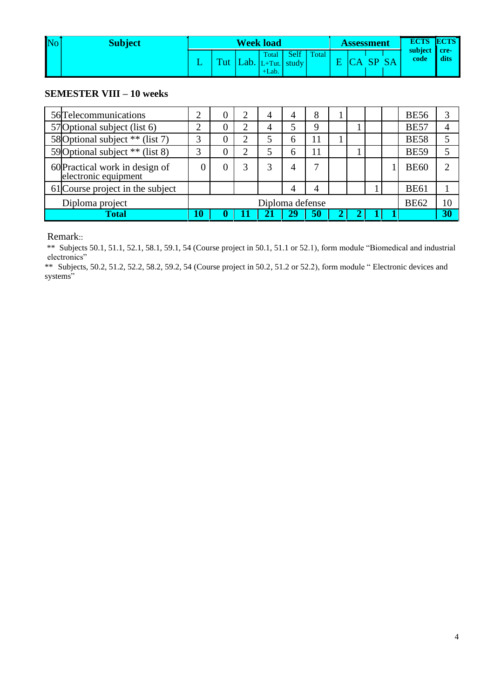| No | <b>Subject</b> |                           |      | <b>Week load</b>                         |       |       | Assessment |  | <b>ECTS ECTS</b>     |      |
|----|----------------|---------------------------|------|------------------------------------------|-------|-------|------------|--|----------------------|------|
|    |                | $\mathbf{T}_{\mathrm{H}}$ | Lab/ | Total<br>$ L+Tut. $ study $ $<br>$+Lab.$ | Self. | Total |            |  | subject cre-<br>code | dits |

#### **SEMESTER VIII – 10 weeks**

| 56 Telecommunications                                  |    | O               | 2 | $\overline{4}$ | 4  | 8  |  |  |  |             | <b>BE56</b> | 3              |
|--------------------------------------------------------|----|-----------------|---|----------------|----|----|--|--|--|-------------|-------------|----------------|
| 57 Optional subject (list 6)                           |    | O               | っ | 4              |    | q  |  |  |  |             | <b>BE57</b> | 4              |
| 58 Optional subject ** (list 7)                        |    | O               | ി | 5              | h  |    |  |  |  |             | <b>BE58</b> | 5              |
| 59 Optional subject ** (list 8)                        |    | O               | റ |                | h  | 11 |  |  |  |             | <b>BE59</b> | 5              |
| 60 Practical work in design of<br>electronic equipment |    |                 | 3 |                |    |    |  |  |  |             | <b>BE60</b> | $\overline{2}$ |
| 61 Course project in the subject                       |    |                 |   |                | 4  |    |  |  |  |             | <b>BE61</b> |                |
| Diploma project                                        |    | Diploma defense |   |                |    |    |  |  |  | <b>BE62</b> | 10          |                |
| Total                                                  | 10 |                 |   |                | 29 | 50 |  |  |  |             |             | 30             |

#### Remark::

\*\* Subjects 50.1, 51.1, 52.1, 58.1, 59.1, 54 (Course project in 50.1, 51.1 or 52.1), form module "Biomedical and industrial electronics"

\*\* Subjects, 50.2, 51.2, 52.2, 58.2, 59.2, 54 (Course project in 50.2, 51.2 or 52.2), form module " Electronic devices and systems"